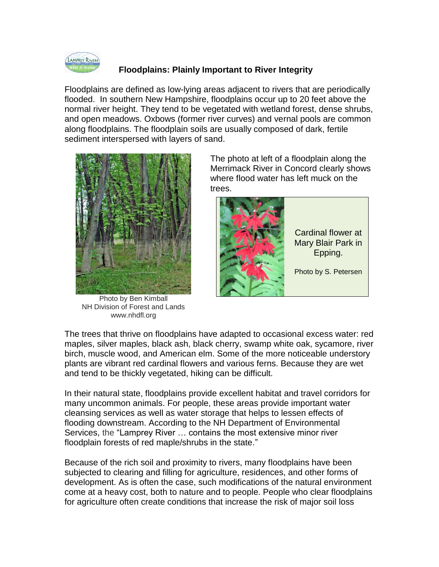

## **Floodplains: Plainly Important to River Integrity**

Floodplains are defined as low-lying areas adjacent to rivers that are periodically flooded. In southern New Hampshire, floodplains occur up to 20 feet above the normal river height. They tend to be vegetated with wetland forest, dense shrubs, and open meadows. Oxbows (former river curves) and vernal pools are common along floodplains. The floodplain soils are usually composed of dark, fertile sediment interspersed with layers of sand.



Photo by Ben Kimball NH Division of Forest and Lands www.nhdfl.org

The photo at left of a floodplain along the Merrimack River in Concord clearly shows where flood water has left muck on the trees.



The trees that thrive on floodplains have adapted to occasional excess water: red maples, silver maples, black ash, black cherry, swamp white oak, sycamore, river birch, muscle wood, and American elm. Some of the more noticeable understory plants are vibrant red cardinal flowers and various ferns. Because they are wet and tend to be thickly vegetated, hiking can be difficult.

In their natural state, floodplains provide excellent habitat and travel corridors for many uncommon animals. For people, these areas provide important water cleansing services as well as water storage that helps to lessen effects of flooding downstream. According to the NH Department of Environmental Services, the "Lamprey River … contains the most extensive minor river floodplain forests of red maple/shrubs in the state."

Because of the rich soil and proximity to rivers, many floodplains have been subjected to clearing and filling for agriculture, residences, and other forms of development. As is often the case, such modifications of the natural environment come at a heavy cost, both to nature and to people. People who clear floodplains for agriculture often create conditions that increase the risk of major soil loss